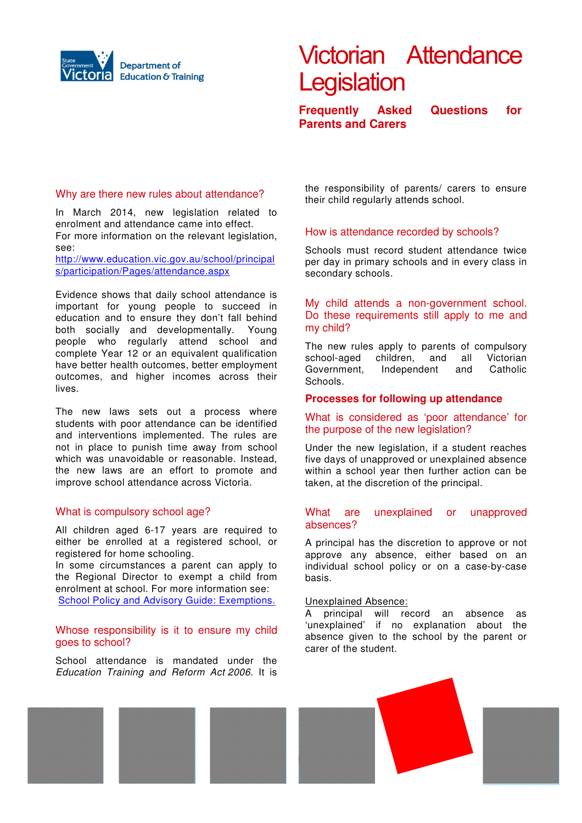

# Victorian Attendance **Legislation**

**Frequently Asked Questions for Parents and Carers** 

## Why are there new rules about attendance?

In March 2014, new legislation related to enrolment and attendance came into effect. For more information on the relevant legislation. see:

http://www.education.vic.gov.au/school/principal s/participation/Pages/attendance.aspx

Evidence shows that daily school attendance is important for young people to succeed in education and to ensure they don't fall behind both socially and developmentally. Young people who regularly attend school and complete Year 12 or an equivalent qualification have better health outcomes, better employment outcomes, and higher incomes across their lives.

The new laws sets out a process where students with poor attendance can be identified and interventions implemented. The rules are not in place to punish time away from school which was unavoidable or reasonable. Instead, the new laws are an effort to promote and improve school attendance across Victoria.

## What is compulsory school age?

All children aged 6-17 years are required to either be enrolled at a registered school, or registered for home schooling.

In some circumstances a parent can apply to the Regional Director to exempt a child from enrolment at school. For more information see: School Policy and Advisory Guide: Exemptions.

## Whose responsibility is it to ensure my child goes to school?

School attendance is mandated under the Education Training and Reform Act 2006. It is

the responsibility of parents/ carers to ensure their child regularly attends school.

## How is attendance recorded by schools?

Schools must record student attendance twice per day in primary schools and in every class in secondary schools.

## My child attends a non-government school. Do these requirements still apply to me and my child?

The new rules apply to parents of compulsory school-aged children, and all Victorian Government, Independent and Catholic Schools.

## **Processes for following up attendance**

# What is considered as 'poor attendance' for the purpose of the new legislation?

Under the new legislation, if a student reaches five days of unapproved or unexplained absence within a school year then further action can be taken, at the discretion of the principal.

#### What are unexplained or unapproved absences?

A principal has the discretion to approve or not approve any absence, either based on an individual school policy or on a case-by-case basis.

#### Unexplained Absence:

A principal will record an absence as 'unexplained' if no explanation about the absence given to the school by the parent or carer of the student.

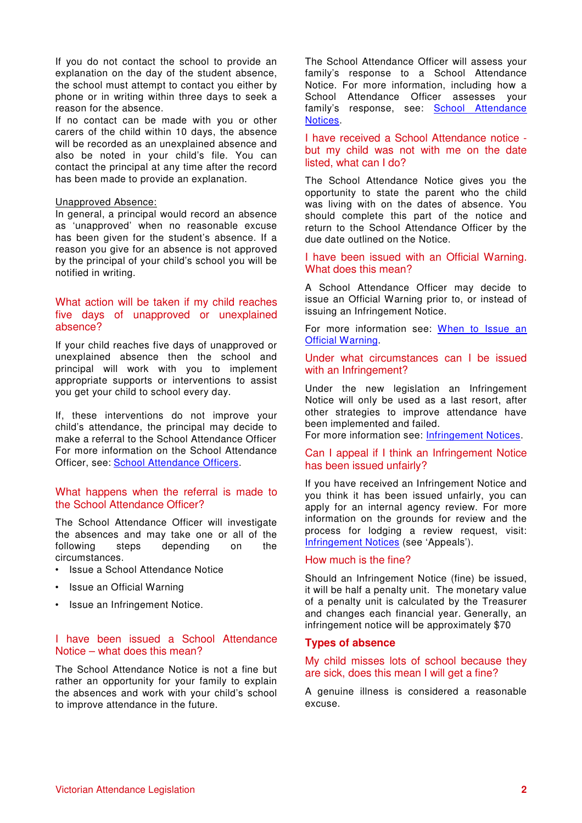If you do not contact the school to provide an explanation on the day of the student absence, the school must attempt to contact you either by phone or in writing within three days to seek a reason for the absence.

If no contact can be made with you or other carers of the child within 10 days, the absence will be recorded as an unexplained absence and also be noted in your child's file. You can contact the principal at any time after the record has been made to provide an explanation.

#### Unapproved Absence:

In general, a principal would record an absence as 'unapproved' when no reasonable excuse has been given for the student's absence. If a reason you give for an absence is not approved by the principal of your child's school you will be notified in writing.

## What action will be taken if my child reaches five days of unapproved or unexplained absence?

If your child reaches five days of unapproved or unexplained absence then the school and principal will work with you to implement appropriate supports or interventions to assist you get your child to school every day.

If, these interventions do not improve your child's attendance, the principal may decide to make a referral to the School Attendance Officer For more information on the School Attendance Officer, see: School Attendance Officers.

## What happens when the referral is made to the School Attendance Officer?

The School Attendance Officer will investigate the absences and may take one or all of the following steps depending on the circumstances.

- Issue a School Attendance Notice
- Issue an Official Warning
- Issue an Infringement Notice.

# I have been issued a School Attendance Notice – what does this mean?

The School Attendance Notice is not a fine but rather an opportunity for your family to explain the absences and work with your child's school to improve attendance in the future.

The School Attendance Officer will assess your family's response to a School Attendance Notice. For more information, including how a School Attendance Officer assesses your family's response, see: School Attendance Notices.

I have received a School Attendance notice but my child was not with me on the date listed, what can I do?

The School Attendance Notice gives you the opportunity to state the parent who the child was living with on the dates of absence. You should complete this part of the notice and return to the School Attendance Officer by the due date outlined on the Notice.

#### I have been issued with an Official Warning. What does this mean?

A School Attendance Officer may decide to issue an Official Warning prior to, or instead of issuing an Infringement Notice.

For more information see: When to Issue an Official Warning.

# Under what circumstances can I be issued with an Infringement?

Under the new legislation an Infringement Notice will only be used as a last resort, after other strategies to improve attendance have been implemented and failed.

For more information see: Infringement Notices.

## Can I appeal if I think an Infringement Notice has been issued unfairly?

If you have received an Infringement Notice and you think it has been issued unfairly, you can apply for an internal agency review. For more information on the grounds for review and the process for lodging a review request, visit: Infringement Notices (see 'Appeals').

#### How much is the fine?

Should an Infringement Notice (fine) be issued, it will be half a penalty unit. The monetary value of a penalty unit is calculated by the Treasurer and changes each financial year. Generally, an infringement notice will be approximately \$70

#### **Types of absence**

## My child misses lots of school because they are sick, does this mean I will get a fine?

A genuine illness is considered a reasonable excuse.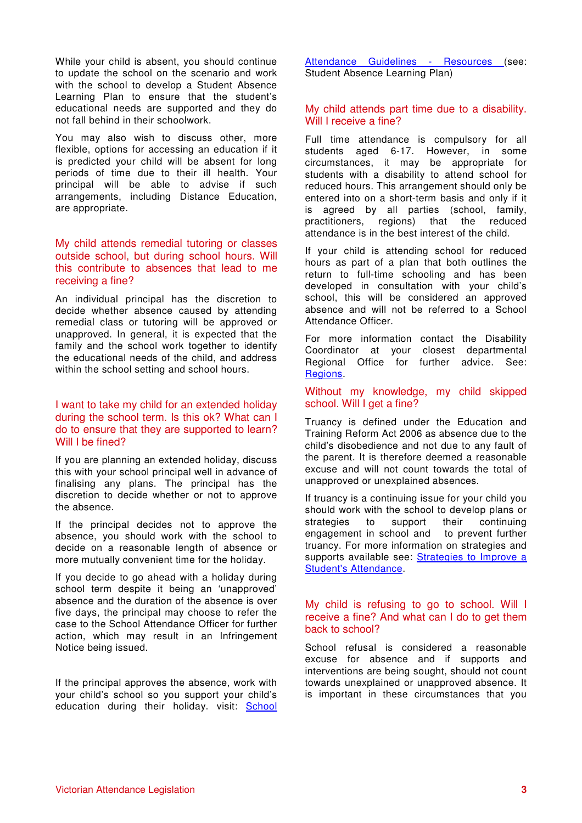While your child is absent, you should continue to update the school on the scenario and work with the school to develop a Student Absence Learning Plan to ensure that the student's educational needs are supported and they do not fall behind in their schoolwork.

You may also wish to discuss other, more flexible, options for accessing an education if it is predicted your child will be absent for long periods of time due to their ill health. Your principal will be able to advise if such arrangements, including Distance Education, are appropriate.

## My child attends remedial tutoring or classes outside school, but during school hours. Will this contribute to absences that lead to me receiving a fine?

An individual principal has the discretion to decide whether absence caused by attending remedial class or tutoring will be approved or unapproved. In general, it is expected that the family and the school work together to identify the educational needs of the child, and address within the school setting and school hours.

## I want to take my child for an extended holiday during the school term. Is this ok? What can I do to ensure that they are supported to learn? Will I be fined?

If you are planning an extended holiday, discuss this with your school principal well in advance of finalising any plans. The principal has the discretion to decide whether or not to approve the absence.

If the principal decides not to approve the absence, you should work with the school to decide on a reasonable length of absence or more mutually convenient time for the holiday.

If you decide to go ahead with a holiday during school term despite it being an 'unapproved' absence and the duration of the absence is over five days, the principal may choose to refer the case to the School Attendance Officer for further action, which may result in an Infringement Notice being issued.

If the principal approves the absence, work with your child's school so you support your child's education during their holiday. visit: School Attendance Guidelines - Resources (see: Student Absence Learning Plan)

# My child attends part time due to a disability. Will I receive a fine?

Full time attendance is compulsory for all students aged 6-17. However, in some circumstances, it may be appropriate for students with a disability to attend school for reduced hours. This arrangement should only be entered into on a short-term basis and only if it is agreed by all parties (school, family, practitioners, regions) that the reduced attendance is in the best interest of the child.

If your child is attending school for reduced hours as part of a plan that both outlines the return to full-time schooling and has been developed in consultation with your child's school, this will be considered an approved absence and will not be referred to a School Attendance Officer.

For more information contact the Disability Coordinator at your closest departmental Regional Office for further advice. See: Regions.

## Without my knowledge, my child skipped school. Will I get a fine?

Truancy is defined under the Education and Training Reform Act 2006 as absence due to the child's disobedience and not due to any fault of the parent. It is therefore deemed a reasonable excuse and will not count towards the total of unapproved or unexplained absences.

If truancy is a continuing issue for your child you should work with the school to develop plans or strategies to support their continuing engagement in school and to prevent further truancy. For more information on strategies and supports available see: Strategies to Improve a Student's Attendance.

# My child is refusing to go to school. Will I receive a fine? And what can I do to get them back to school?

School refusal is considered a reasonable excuse for absence and if supports and interventions are being sought, should not count towards unexplained or unapproved absence. It is important in these circumstances that you